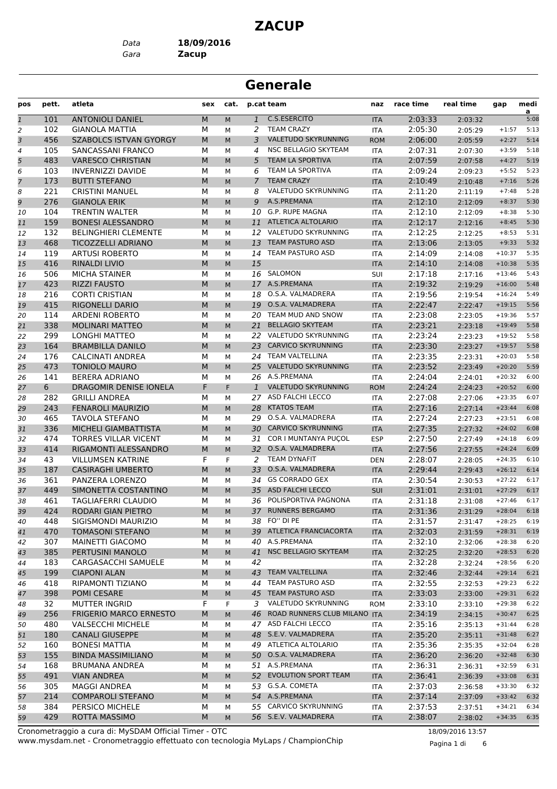#### **ZACUP**

*Data* **18/09/2016**

*Gara* **Zacup**

# **Generale**

| pos           | pett. | atleta                        | sex | cat.        |                 | p.cat team                      | naz        | race time | real time | gap      | medi      |
|---------------|-------|-------------------------------|-----|-------------|-----------------|---------------------------------|------------|-----------|-----------|----------|-----------|
| $\mathfrak 1$ | 101   | <b>ANTONIOLI DANIEL</b>       | M   | M           | $\mathbf{1}$    | C.S.ESERCITO                    | <b>ITA</b> | 2:03:33   | 2:03:32   |          | a<br>5:08 |
| 2             | 102   | <b>GIANOLA MATTIA</b>         | М   | М           | 2               | <b>TEAM CRAZY</b>               | ITA        | 2:05:30   | 2:05:29   | $+1:57$  | 5:13      |
| 3             | 456   | <b>SZABOLCS ISTVAN GYORGY</b> | M   | M           | 3               | <b>VALETUDO SKYRUNNING</b>      | <b>ROM</b> | 2:06:00   | 2:05:59   | $+2:27$  | 5:14      |
| 4             | 105   | SANCASSANI FRANCO             | М   | М           | 4               | <b>NSC BELLAGIO SKYTEAM</b>     | ITA        | 2:07:31   | 2:07:30   | $+3:59$  | 5:18      |
| 5             | 483   | <b>VARESCO CHRISTIAN</b>      | M   | M           | 5               | TEAM LA SPORTIVA                | <b>ITA</b> | 2:07:59   | 2:07:58   | $+4:27$  | 5:19      |
| 6             | 103   | <b>INVERNIZZI DAVIDE</b>      | М   | M           | 6               | TEAM LA SPORTIVA                | <b>ITA</b> | 2:09:24   | 2:09:23   | $+5:52$  | 5:23      |
| 7             | 173   | <b>BUTTI STEFANO</b>          | M   | M           | 7               | <b>TEAM CRAZY</b>               | <b>ITA</b> | 2:10:49   | 2:10:48   | $+7:16$  | 5:26      |
| 8             | 221   | <b>CRISTINI MANUEL</b>        | М   | М           | 8               | <b>VALETUDO SKYRUNNING</b>      | <b>ITA</b> | 2:11:20   | 2:11:19   | $+7:48$  | 5:28      |
| 9             | 276   | <b>GIANOLA ERIK</b>           | M   | M           | 9               | A.S.PREMANA                     | <b>ITA</b> | 2:12:10   | 2:12:09   | $+8:37$  | 5:30      |
| 10            | 104   | <b>TRENTIN WALTER</b>         | М   | M           |                 | 10 G.P. RUPE MAGNA              | <b>ITA</b> | 2:12:10   | 2:12:09   | $+8:38$  | 5:30      |
| 11            | 159   | <b>BONESI ALESSANDRO</b>      | M   | M           | 11              | ATLETICA ALTOLARIO              | <b>ITA</b> | 2:12:17   | 2:12:16   | $+8:45$  | 5:30      |
| 12            | 132   | <b>BELINGHIERI CLEMENTE</b>   | М   | М           | 12              | VALETUDO SKYRUNNING             | <b>ITA</b> | 2:12:25   | 2:12:25   | $+8:53$  | 5:31      |
| 13            | 468   | <b>TICOZZELLI ADRIANO</b>     | M   | M           | 13              | <b>TEAM PASTURO ASD</b>         | <b>ITA</b> | 2:13:06   | 2:13:05   | $+9:33$  | 5:32      |
| 14            | 119   | <b>ARTUSI ROBERTO</b>         | М   | М           | 14              | TEAM PASTURO ASD                | <b>ITA</b> | 2:14:09   | 2:14:08   | $+10:37$ | 5:35      |
| 15            | 416   | <b>RINALDI LIVIO</b>          | M   | M           | 15              |                                 | <b>ITA</b> | 2:14:10   | 2:14:08   | $+10:38$ | 5:35      |
| 16            | 506   | <b>MICHA STAINER</b>          | М   | M           |                 | 16 SALOMON                      | SUI        | 2:17:18   | 2:17:16   | $+13:46$ | 5:43      |
| 17            | 423   | <b>RIZZI FAUSTO</b>           | M   | M           |                 | 17 A.S.PREMANA                  | <b>ITA</b> | 2:19:32   | 2:19:29   | $+16:00$ | 5:48      |
| 18            | 216   | <b>CORTI CRISTIAN</b>         | М   | M           | 18              | O.S.A. VALMADRERA               | <b>ITA</b> | 2:19:56   | 2:19:54   | $+16:24$ | 5:49      |
| 19            | 415   | <b>RIGONELLI DARIO</b>        | M   | M           | 19              | O.S.A. VALMADRERA               | <b>ITA</b> | 2:22:47   | 2:22:47   | $+19:15$ | 5:56      |
| 20            | 114   | <b>ARDENI ROBERTO</b>         | М   | М           | 20              | TEAM MUD AND SNOW               | <b>ITA</b> | 2:23:08   | 2:23:05   | $+19:36$ | 5:57      |
| 21            | 338   | <b>MOLINARI MATTEO</b>        | M   | M           | 21              | <b>BELLAGIO SKYTEAM</b>         | <b>ITA</b> | 2:23:21   | 2:23:18   | $+19:49$ | 5:58      |
| 22            | 299   | <b>LONGHI MATTEO</b>          | М   | M           |                 | 22 VALETUDO SKYRUNNING          | <b>ITA</b> | 2:23:24   | 2:23:23   | $+19:52$ | 5:58      |
| 23            | 164   | <b>BRAMBILLA DANILO</b>       | M   | M           | 23              | <b>CARVICO SKYRUNNING</b>       | <b>ITA</b> | 2:23:30   | 2:23:27   | $+19:57$ | 5:58      |
| 24            | 176   | <b>CALCINATI ANDREA</b>       | М   | М           | 24              | TEAM VALTELLINA                 | <b>ITA</b> | 2:23:35   | 2:23:31   | $+20:03$ | 5:58      |
| 25            | 473   | <b>TONIOLO MAURO</b>          | M   | M           |                 | 25 VALETUDO SKYRUNNING          | <b>ITA</b> | 2:23:52   | 2:23:49   | $+20:20$ | 5:59      |
| 26            | 141   | <b>BERERA ADRIANO</b>         | М   | М           |                 | 26 A.S.PREMANA                  | <b>ITA</b> | 2:24:04   | 2:24:01   | $+20:32$ | 6:00      |
| 27            | 6     | DRAGOMIR DENISE IONELA        | F   | F           | $\mathbf{1}$    | <b>VALETUDO SKYRUNNING</b>      | <b>ROM</b> | 2:24:24   | 2:24:23   | $+20:52$ | 6:00      |
| 28            | 282   | <b>GRILLI ANDREA</b>          | М   | M           | 27              | ASD FALCHI LECCO                | ITA        | 2:27:08   | 2:27:06   | $+23:35$ | 6:07      |
| 29            | 243   | <b>FENAROLI MAURIZIO</b>      | M   | M           | 28              | <b>KTATOS TEAM</b>              | <b>ITA</b> | 2:27:16   | 2:27:14   | $+23:44$ | 6:08      |
| 30            | 465   | <b>TAVOLA STEFANO</b>         | М   | М           | 29              | O.S.A. VALMADRERA               | <b>ITA</b> | 2:27:24   | 2:27:23   | $+23:51$ | 6:08      |
| 31            | 336   | MICHELI GIAMBATTISTA          | M   | M           | 30              | <b>CARVICO SKYRUNNING</b>       | <b>ITA</b> | 2:27:35   | 2:27:32   | $+24:02$ | 6:08      |
| 32            | 474   | <b>TORRES VILLAR VICENT</b>   | М   | М           | 31              | COR I MUNTANYA PUÇOL            | <b>ESP</b> | 2:27:50   | 2:27:49   | $+24:18$ | 6:09      |
| 33            | 414   | RIGAMONTI ALESSANDRO          | M   | M           | 32 <sup>2</sup> | O.S.A. VALMADRERA               | <b>ITA</b> | 2:27:56   | 2:27:55   | $+24:24$ | 6:09      |
| 34            | 43    | <b>VILLUMSEN KATRINE</b>      | F   | $\mathsf F$ | 2               | <b>TEAM DYNAFIT</b>             | <b>DEN</b> | 2:28:07   | 2:28:05   | $+24:35$ | 6:10      |
| 35            | 187   | <b>CASIRAGHI UMBERTO</b>      | M   | M           | 33              | O.S.A. VALMADRERA               | <b>ITA</b> | 2:29:44   | 2:29:43   | $+26:12$ | 6:14      |
| 36            | 361   | PANZERA LORENZO               | М   | М           | 34              | <b>GS CORRADO GEX</b>           | <b>ITA</b> | 2:30:54   | 2:30:53   | $+27:22$ | 6:17      |
| 37            | 449   | SIMONETTA COSTANTINO          | M   | M           | 35              | ASD FALCHI LECCO                | <b>SUI</b> | 2:31:01   | 2:31:01   | $+27:29$ | 6:17      |
| 38            | 461   | <b>TAGLIAFERRI CLAUDIO</b>    | м   | М           | 36              | POLISPORTIVA PAGNONA            | <b>ITA</b> | 2:31:18   | 2:31:08   | $+27:46$ | 6:17      |
| 39            | 424   | <b>RODARI GIAN PIETRO</b>     | M   | M           | 37              | <b>RUNNERS BERGAMO</b>          | <b>ITA</b> | 2:31:36   | 2:31:29   | $+28:04$ | 6:18      |
| 40            | 448   | SIGISMONDI MAURIZIO           | м   | М           |                 | 38 FO" DI PE                    | ITA        | 2:31:57   | 2:31:47   | $+28:25$ | 6:19      |
| 41            | 470   | <b>TOMASONI STEFANO</b>       | М   | M           |                 | 39 ATLETICA FRANCIACORTA        | <b>ITA</b> | 2:32:03   | 2:31:59   | $+28:31$ | 6:19      |
| 42            | 307   | <b>MAINETTI GIACOMO</b>       | м   | М           |                 | 40 A.S.PREMANA                  | ITA        | 2:32:10   | 2:32:06   | $+28:38$ | 6:20      |
| 43            | 385   | PERTUSINI MANOLO              | M   | M           |                 | 41 NSC BELLAGIO SKYTEAM         | <b>ITA</b> | 2:32:25   | 2:32:20   | $+28:53$ | 6:20      |
| 44            | 183   | <b>CARGASACCHI SAMUELE</b>    | М   | М           | 42              |                                 | ITA        | 2:32:28   | 2:32:24   | $+28:56$ | 6:20      |
| 45            | 199   | <b>CIAPONI ALAN</b>           | M   | M           |                 | 43 TEAM VALTELLINA              | <b>ITA</b> | 2:32:46   | 2:32:44   | $+29:14$ | 6:21      |
| 46            | 418   | RIPAMONTI TIZIANO             | М   | М           |                 | 44 TEAM PASTURO ASD             | ITA        | 2:32:55   | 2:32:53   | $+29:23$ | 6:22      |
| 47            | 398   | POMI CESARE                   | М   | M           | 45              | TEAM PASTURO ASD                | <b>ITA</b> | 2:33:03   | 2:33:00   | $+29:31$ | 6:22      |
| 48            | 32    | <b>MUTTER INGRID</b>          | F   | F           | 3               | VALETUDO SKYRUNNING             | <b>ROM</b> | 2:33:10   | 2:33:10   | $+29:38$ | 6:22      |
| 49            | 256   | <b>FRIGERIO MARCO ERNESTO</b> | M   | M           |                 | 46 ROAD RUNNERS CLUB MILANO ITA |            | 2:34:19   | 2:34:15   | $+30:47$ | 6:25      |
| 50            | 480   | <b>VALSECCHI MICHELE</b>      | М   | М           |                 | 47 ASD FALCHI LECCO             | ITA        | 2:35:16   | 2:35:13   | $+31:44$ | 6:28      |
| 51            | 180   | <b>CANALI GIUSEPPE</b>        | M   | M           |                 | 48 S.E.V. VALMADRERA            | <b>ITA</b> | 2:35:20   | 2:35:11   | $+31:48$ | 6:27      |
| 52            | 160   | <b>BONESI MATTIA</b>          | М   | М           |                 | 49 ATLETICA ALTOLARIO           | ITA        | 2:35:36   | 2:35:35   | $+32:04$ | 6:28      |
| 53            | 155   | <b>BINDA MASSIMILIANO</b>     | М   | M           |                 | 50 O.S.A. VALMADRERA            | <b>ITA</b> | 2:36:20   | 2:36:20   | $+32:48$ | 6:30      |
| 54            | 168   | <b>BRUMANA ANDREA</b>         | М   | М           |                 | 51 A.S.PREMANA                  | ITA        | 2:36:31   | 2:36:31   | $+32:59$ | 6:31      |
| 55            | 491   | <b>VIAN ANDREA</b>            | M   | M           |                 | 52 EVOLUTION SPORT TEAM         | <b>ITA</b> | 2:36:41   | 2:36:39   | $+33:08$ | 6:31      |
| 56            | 305   | MAGGI ANDREA                  | м   | М           |                 | 53 G.S.A. COMETA                | ITA        | 2:37:03   | 2:36:58   | $+33:30$ | 6:32      |
| 57            | 214   | <b>COMPAROLI STEFANO</b>      | M   | M           |                 | 54 A.S.PREMANA                  | <b>ITA</b> | 2:37:14   | 2:37:09   | $+33:42$ | 6:32      |
| 58            | 384   | PERSICO MICHELE               | М   | М           |                 | 55 CARVICO SKYRUNNING           | ITA        | 2:37:53   | 2:37:51   | $+34:21$ | 6:34      |
| 59            | 429   | ROTTA MASSIMO                 | М   | M           |                 | 56 S.E.V. VALMADRERA            | <b>ITA</b> | 2:38:07   | 2:38:02   | $+34:35$ | 6:35      |

www.mysdam.net - Cronometraggio effettuato con tecnologia MyLaps / ChampionChip Cronometraggio a cura di: MySDAM Official Timer - OTC 18/09/2016 13:57

Pagina 1 di 6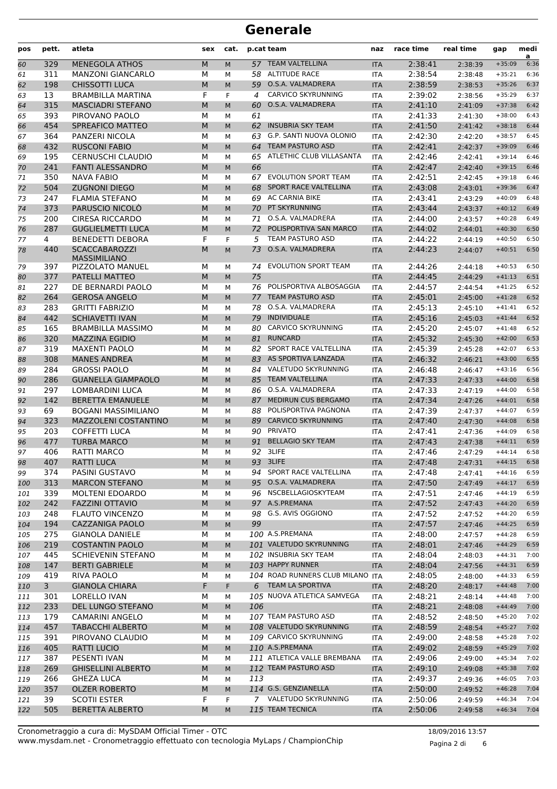| pos | pett.        | atleta                     | sex       | cat.                        |     | p.cat team                       | naz        | race time | real time | gap           | medi<br>a |
|-----|--------------|----------------------------|-----------|-----------------------------|-----|----------------------------------|------------|-----------|-----------|---------------|-----------|
| 60  | 329          | <b>MENEGOLA ATHOS</b>      | M         | M                           |     | 57 TEAM VALTELLINA               | <b>ITA</b> | 2:38:41   | 2:38:39   | $+35:09$      | 6:36      |
| 61  | 311          | <b>MANZONI GIANCARLO</b>   | М         | M                           | 58  | <b>ALTITUDE RACE</b>             | <b>ITA</b> | 2:38:54   | 2:38:48   | $+35:21$      | 6:36      |
| 62  | 198          | <b>CHISSOTTI LUCA</b>      | M         | M                           | 59  | O.S.A. VALMADRERA                | <b>ITA</b> | 2:38:59   | 2:38:53   | $+35:26$      | 6:37      |
| 63  | 13           | <b>BRAMBILLA MARTINA</b>   | F         | F.                          | 4   | <b>CARVICO SKYRUNNING</b>        | <b>ITA</b> | 2:39:02   | 2:38:56   | $+35:29$      | 6:37      |
| 64  | 315          | <b>MASCIADRI STEFANO</b>   | M         | M                           | 60  | O.S.A. VALMADRERA                | <b>ITA</b> | 2:41:10   | 2:41:09   | $+37:38$      | 6:42      |
| 65  | 393          | PIROVANO PAOLO             | М         | M                           | 61  |                                  | <b>ITA</b> | 2:41:33   | 2:41:30   | $+38:00$      | 6:43      |
| 66  | 454          | SPREAFICO MATTEO           | M         | M                           |     | 62 INSUBRIA SKY TEAM             | <b>ITA</b> | 2:41:50   | 2:41:42   | $+38:18$      | 6:44      |
| 67  | 364          | <b>PANZERI NICOLA</b>      | M         | M                           | 63  | G.P. SANTI NUOVA OLONIO          | <b>ITA</b> | 2:42:30   | 2:42:20   | $+38:57$      | 6:45      |
| 68  | 432          | <b>RUSCONI FABIO</b>       | M         | M                           | 64  | <b>TEAM PASTURO ASD</b>          | <b>ITA</b> | 2:42:41   | 2:42:37   | $+39:09$      | 6:46      |
| 69  | 195          | <b>CERNUSCHI CLAUDIO</b>   | M         | M                           | 65  | ATLETHIC CLUB VILLASANTA         | <b>ITA</b> | 2:42:46   | 2:42:41   | $+39:14$      | 6:46      |
| 70  | 241          | <b>FANTI ALESSANDRO</b>    | M         | M                           | 66  |                                  | <b>ITA</b> | 2:42:47   | 2:42:40   | $+39:15$      | 6:46      |
| 71  | 350          | <b>NAVA FABIO</b>          | М         | М                           | 67  | <b>EVOLUTION SPORT TEAM</b>      | <b>ITA</b> | 2:42:51   | 2:42:45   | $+39:18$      | 6:46      |
| 72  | 504          | <b>ZUGNONI DIEGO</b>       | M         | M                           | 68  | SPORT RACE VALTELLINA            | <b>ITA</b> | 2:43:08   | 2:43:01   | $+39:36$      | 6:47      |
| 73  | 247          | <b>FLAMIA STEFANO</b>      | М         | M                           |     | 69 AC CARNIA BIKE                | <b>ITA</b> | 2:43:41   | 2:43:29   | $+40:09$      | 6:48      |
| 74  | 373          | PARUSCIO NICOLÒ            | M         | M                           | 70  | PT SKYRUNNING                    | <b>ITA</b> | 2:43:44   | 2:43:37   | $+40:12$      | 6:49      |
| 75  | 200          | <b>CIRESA RICCARDO</b>     | М         | M                           | 71  | O.S.A. VALMADRERA                | <b>ITA</b> | 2:44:00   | 2:43:57   | $+40:28$      | 6:49      |
| 76  | 287          | <b>GUGLIELMETTI LUCA</b>   | M         | M                           | 72  | POLISPORTIVA SAN MARCO           | <b>ITA</b> | 2:44:02   | 2:44:01   | $+40:30$      | 6:50      |
| 77  | 4            | <b>BENEDETTI DEBORA</b>    | F         | F                           | 5   | TEAM PASTURO ASD                 | <b>ITA</b> | 2:44:22   | 2:44:19   | $+40:50$      | 6:50      |
| 78  | 440          | <b>SCACCABAROZZI</b>       | M         | M                           | 73  | O.S.A. VALMADRERA                | <b>ITA</b> | 2:44:23   | 2:44:07   | $+40:51$      | 6:50      |
|     |              | <b>MASSIMILIANO</b>        |           |                             |     |                                  |            |           |           |               |           |
| 79  | 397          | <b>PIZZOLATO MANUEL</b>    | М         | М                           |     | 74 EVOLUTION SPORT TEAM          | <b>ITA</b> | 2:44:26   | 2:44:18   | $+40:53$      | 6:50      |
| 80  | 377          | <b>PATELLI MATTEO</b>      | M         | M                           | 75  |                                  | <b>ITA</b> | 2:44:45   | 2:44:29   | $+41:13$      | 6:51      |
| 81  | 227          | DE BERNARDI PAOLO          | м         | M                           | 76  | POLISPORTIVA ALBOSAGGIA          | <b>ITA</b> | 2:44:57   | 2:44:54   | $+41:25$      | 6:52      |
| 82  | 264          | <b>GEROSA ANGELO</b>       | M         | M                           | 77  | <b>TEAM PASTURO ASD</b>          | <b>ITA</b> | 2:45:01   | 2:45:00   | $+41:28$      | 6:52      |
| 83  | 283          | <b>GRITTI FABRIZIO</b>     | м         | M                           | 78  | O.S.A. VALMADRERA                | <b>ITA</b> | 2:45:13   | 2:45:10   | $+41:41$      | 6:52      |
| 84  | 442          | <b>SCHIAVETTI IVAN</b>     | M         | M                           | 79  | <b>INDIVIDUALE</b>               | <b>ITA</b> | 2:45:16   | 2:45:03   | $+41:44$      | 6:52      |
| 85  | 165          | <b>BRAMBILLA MASSIMO</b>   | M         | M                           | 80  | CARVICO SKYRUNNING               | <b>ITA</b> | 2:45:20   | 2:45:07   | $+41:48$      | 6:52      |
| 86  | 320          | <b>MAZZINA EGIDIO</b>      | M         | M                           | 81  | <b>RUNCARD</b>                   | <b>ITA</b> | 2:45:32   | 2:45:30   | $+42:00$      | 6:53      |
| 87  | 319          | <b>MAXENTI PAOLO</b>       | м         | M                           | 82  | SPORT RACE VALTELLINA            | <b>ITA</b> | 2:45:39   | 2:45:28   | $+42:07$      | 6:53      |
| 88  | 308          | <b>MANES ANDREA</b>        | M         | M                           | 83  | AS SPORTIVA LANZADA              | <b>ITA</b> | 2:46:32   | 2:46:21   | $+43:00$      | 6:55      |
| 89  | 284          | <b>GROSSI PAOLO</b>        | М         | М                           | 84  | VALETUDO SKYRUNNING              | <b>ITA</b> | 2:46:48   | 2:46:47   | $+43:16$      | 6:56      |
| 90  | 286          | <b>GUANELLA GIAMPAOLO</b>  | M         | M                           | 85  | <b>TEAM VALTELLINA</b>           | <b>ITA</b> | 2:47:33   | 2:47:33   | $+44:00$      | 6:58      |
| 91  | 297          | <b>LOMBARDINI LUCA</b>     | М         | M                           |     | 86 O.S.A. VALMADRERA             | <b>ITA</b> | 2:47:33   | 2:47:19   | $+44:00$      | 6:58      |
| 92  | 142          | <b>BERETTA EMANUELE</b>    | M         | M                           | 87  | MEDIRUN CUS BERGAMO              | <b>ITA</b> | 2:47:34   | 2:47:26   | $+44:01$      | 6:58      |
| 93  | 69           | <b>BOGANI MASSIMILIANO</b> | м         | M                           | 88  | POLISPORTIVA PAGNONA             | <b>ITA</b> | 2:47:39   | 2:47:37   | $+44:07$      | 6:59      |
| 94  | 323          | MAZZOLENI COSTANTINO       | M         | M                           | 89  | <b>CARVICO SKYRUNNING</b>        | <b>ITA</b> | 2:47:40   | 2:47:30   | $+44:08$      | 6:58      |
| 95  | 203          | <b>COFFETTI LUCA</b>       | М         | M                           | 90  | <b>PRIVATO</b>                   | <b>ITA</b> | 2:47:41   | 2:47:36   | $+44:09$      | 6:58      |
| 96  | 477          | <b>TURBA MARCO</b>         | M         | M                           | 91  | <b>BELLAGIO SKY TEAM</b>         | <b>ITA</b> | 2:47:43   | 2:47:38   | $+44:11$      | 6:59      |
| 97  | 406          | RATTI MARCO                | M         | M                           |     | 92 3LIFE                         | <b>ITA</b> | 2:47:46   | 2:47:29   | $+44:14$      | 6:58      |
| 98  | 407          | RATTI LUCA                 | ${\sf M}$ | $\mathsf{M}% _{0}^{\prime}$ |     | 93 3LIFE                         | <b>ITA</b> | 2:47:48   | 2:47:31   | $+44:15$ 6:58 |           |
| 99  | 374          | PASINI GUSTAVO             | М         | м                           |     | 94 SPORT RACE VALTELLINA         | ITA        | 2:47:48   | 2:47:41   | $+44:16$      | 6:59      |
| 100 | 313          | <b>MARCON STEFANO</b>      | M         | M                           |     | 95 O.S.A. VALMADRERA             | <b>ITA</b> | 2:47:50   | 2:47:49   | $+44:17$      | 6:59      |
| 101 | 339          | MOLTENI EDOARDO            | М         | м                           |     | 96 NSCBELLAGIOSKYTEAM            | ITA        | 2:47:51   | 2:47:46   | $+44:19$      | 6:59      |
| 102 | 242          | <b>FAZZINI OTTAVIO</b>     | M         | M                           |     | 97 A.S.PREMANA                   | <b>ITA</b> | 2:47:52   | 2:47:43   | $+44:20$      | 6:59      |
| 103 | 248          | <b>FLAUTO VINCENZO</b>     | М         | М                           |     | 98 G.S. AVIS OGGIONO             | ITA        | 2:47:52   | 2:47:52   | $+44:20$      | 6:59      |
| 104 | 194          | <b>CAZZANIGA PAOLO</b>     | M         | M                           | 99  |                                  | <b>ITA</b> | 2:47:57   | 2:47:46   | $+44:25$      | 6:59      |
| 105 | 275          | <b>GIANOLA DANIELE</b>     | М         | М                           |     | 100 A.S.PREMANA                  | ITA        | 2:48:00   | 2:47:57   | $+44:28$      | 6:59      |
| 106 | 219          | <b>COSTANTIN PAOLO</b>     | M         | M                           |     | 101 VALETUDO SKYRUNNING          | <b>ITA</b> | 2:48:01   | 2:47:46   | $+44:29$      | 6:59      |
| 107 | 445          | SCHIEVENIN STEFANO         | М         | М                           |     | 102 INSUBRIA SKY TEAM            | ITA        | 2:48:04   | 2:48:03   | $+44:31$      | 7:00      |
| 108 | 147          | <b>BERTI GABRIELE</b>      | M         | M                           |     | 103 HAPPY RUNNER                 | <b>ITA</b> | 2:48:04   | 2:47:56   | $+44:31$      | 6:59      |
| 109 | 419          | RIVA PAOLO                 | М         | М                           |     | 104 ROAD RUNNERS CLUB MILANO ITA |            | 2:48:05   | 2:48:00   | $+44:33$      | 6:59      |
| 110 | $\mathbf{3}$ | <b>GIANOLA CHIARA</b>      | F         | F.                          |     | 6 TEAM LA SPORTIVA               | <b>ITA</b> | 2:48:20   | 2:48:17   | $+44:48$      | 7:00      |
| 111 | 301          | LORELLO IVAN               | М         | м                           |     | 105 NUOVA ATLETICA SAMVEGA       | ITA        | 2:48:21   | 2:48:14   | $+44:48$      | 7:00      |
| 112 | 233          | DEL LUNGO STEFANO          | M         | M                           | 106 |                                  | <b>ITA</b> | 2:48:21   | 2:48:08   | $+44:49$      | 7:00      |
| 113 | 179          | <b>CAMARINI ANGELO</b>     | М         | м                           |     | 107 TEAM PASTURO ASD             | ITA        | 2:48:52   | 2:48:50   | $+45:20$      | 7:02      |
| 114 | 457          | <b>TABACCHI ALBERTO</b>    | M         | M                           |     | 108 VALETUDO SKYRUNNING          | <b>ITA</b> | 2:48:59   | 2:48:54   | $+45:27$      | 7:02      |
| 115 | 391          | PIROVANO CLAUDIO           | М         | м                           |     | 109 CARVICO SKYRUNNING           | ITA        | 2:49:00   | 2:48:58   | $+45:28$      | 7:02      |
| 116 | 405          | RATTI LUCIO                | M         | M                           |     | 110 A.S.PREMANA                  | <b>ITA</b> | 2:49:02   | 2:48:59   | $+45:29$      | 7:02      |
| 117 | 387          | PESENTI IVAN               | М         | М                           |     | 111 ATLETICA VALLE BREMBANA      | ITA        | 2:49:06   | 2:49:00   | $+45:34$      | 7:02      |
| 118 | 269          | <b>GHISELLINI ALBERTO</b>  | M         | M                           |     | 112 TEAM PASTURO ASD             | <b>ITA</b> | 2:49:10   | 2:49:08   | $+45:38$      | 7:02      |
| 119 | 266          | <b>GHEZA LUCA</b>          | М         | м                           | 113 |                                  | ITA        | 2:49:37   | 2:49:36   | $+46:05$      | 7:03      |
| 120 | 357          | <b>OLZER ROBERTO</b>       | M         | М                           |     | 114 G.S. GENZIANELLA             | <b>ITA</b> | 2:50:00   | 2:49:52   | $+46:28$      | 7:04      |
| 121 | 39           | <b>SCOTII ESTER</b>        | F         | F                           |     | 7 VALETUDO SKYRUNNING            | ITA        | 2:50:06   | 2:49:59   | $+46:34$      | 7:04      |
| 122 | 505          | <b>BERETTA ALBERTO</b>     | M         | M                           |     | 115 TEAM TECNICA                 | <b>ITA</b> | 2:50:06   | 2:49:58   | $+46:34$      | 7:04      |
|     |              |                            |           |                             |     |                                  |            |           |           |               |           |

Pagina 2 di 6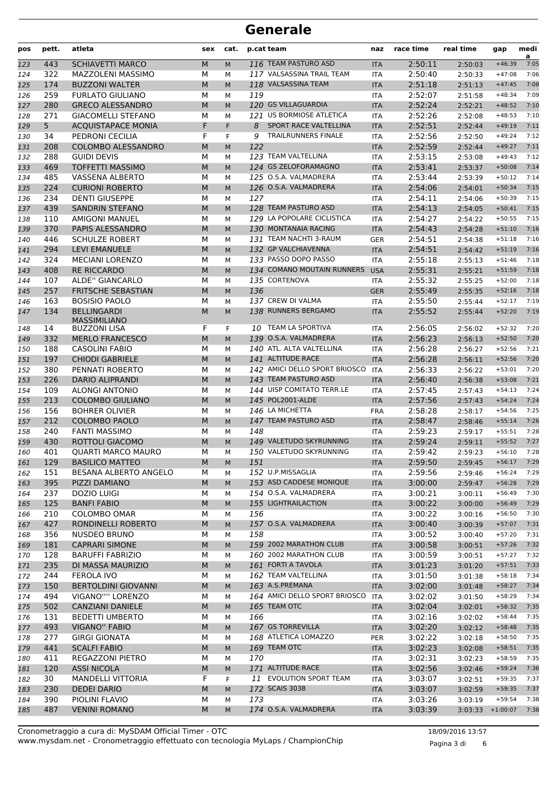| pos        | pett.      | atleta                                              | sex            | cat.   |     | p.cat team                    | naz               | race time          | real time          | gap                  | medi<br>a    |
|------------|------------|-----------------------------------------------------|----------------|--------|-----|-------------------------------|-------------------|--------------------|--------------------|----------------------|--------------|
| 123        | 443        | <b>SCHIAVETTI MARCO</b>                             | M              | M      |     | 116 TEAM PASTURO ASD          | <b>ITA</b>        | 2:50:11            | 2:50:03            | $+46:39$             | 7:05         |
| 124        | 322        | MAZZOLENI MASSIMO                                   | М              | М      |     | 117 VALSASSINA TRAIL TEAM     | <b>ITA</b>        | 2:50:40            | 2:50:33            | $+47:08$             | 7:06         |
| 125        | 174        | <b>BUZZONI WALTER</b>                               | M              | M      |     | 118 VALSASSINA TEAM           | <b>ITA</b>        | 2:51:18            | 2:51:13            | $+47:45$             | 7:08         |
| 126        | 259        | <b>FURLATO GIULIANO</b>                             | М              | м      | 119 |                               | <b>ITA</b>        | 2:52:07            | 2:51:58            | $+48:34$             | 7:09         |
| 127        | 280        | <b>GRECO ALESSANDRO</b>                             | M              | M      |     | 120 GS VILLAGUARDIA           | <b>ITA</b>        | 2:52:24            | 2:52:21            | $+48:52$             | 7:10         |
| 128        | 271        | <b>GIACOMELLI STEFANO</b>                           | М              | М      |     | 121 US BORMIOSE ATLETICA      | <b>ITA</b>        | 2:52:26            | 2:52:08            | $+48:53$             | 7:10         |
| 129        | 5          | <b>ACQUISTAPACE MONIA</b>                           | F              | F.     | 8   | SPORT RACE VALTELLINA         | <b>ITA</b>        | 2:52:51            | 2:52:44            | $+49:19$             | 7:11         |
| 130        | 34         | PEDRONI CECILIA                                     | F              | F      | 9   | <b>TRAILRUNNERS FINALE</b>    | <b>ITA</b>        | 2:52:56            | 2:52:50            | $+49:24$             | 7:12         |
| 131        | 208        | <b>COLOMBO ALESSANDRO</b>                           | M              | M      | 122 |                               | <b>ITA</b>        | 2:52:59            | 2:52:44            | $+49:27$             | 7:11         |
| 132        | 288        | <b>GUIDI DEVIS</b>                                  | М              | м      |     | 123 TEAM VALTELLINA           | <b>ITA</b>        | 2:53:15            | 2:53:08            | $+49:43$             | 7:12         |
| 133        | 469        | <b>TOFFETTI MASSIMO</b>                             | M              | M      |     | 124 GS ZELOFORAMAGNO          | <b>ITA</b>        | 2:53:41            | 2:53:37            | $+50:08$             | 7:14         |
| 134        | 485        | <b>VASSENA ALBERTO</b>                              | М              | М      |     | 125 O.S.A. VALMADRERA         | <b>ITA</b>        | 2:53:44            | 2:53:39            | $+50:12$             | 7:14         |
| 135        | 224        | <b>CURIONI ROBERTO</b>                              | M              | M      |     | 126 O.S.A. VALMADRERA         | <b>ITA</b>        | 2:54:06            | 2:54:01            | $+50:34$             | 7:15<br>7:15 |
| 136        | 234<br>439 | <b>DENTI GIUSEPPE</b><br><b>SANDRIN STEFANO</b>     | М<br>M         | М      | 127 | 128 TEAM PASTURO ASD          | ITA               | 2:54:11<br>2:54:13 | 2:54:06            | $+50:39$             | 7:15         |
| 137        | 110        | <b>AMIGONI MANUEL</b>                               | М              | M      |     | 129 LA POPOLARE CICLISTICA    | <b>ITA</b>        | 2:54:27            | 2:54:05            | $+50:41$<br>$+50:55$ | 7:15         |
| 138        | 370        | PAPIS ALESSANDRO                                    | M              | М      |     | 130 MONTANAIA RACING          | <b>ITA</b>        | 2:54:43            | 2:54:22<br>2:54:28 | $+51:10$             | 7:16         |
| 139<br>140 | 446        | <b>SCHULZE ROBERT</b>                               | М              | M<br>М |     | 131 TEAM NACHTI 3-RAUM        | <b>ITA</b><br>GER | 2:54:51            | 2:54:38            | $+51:18$             | 7:16         |
| 141        | 294        | <b>LEVI EMANUELE</b>                                | M              | M      |     | 132 GP VALCHIAVENNA           | <b>ITA</b>        | 2:54:51            | 2:54:42            | $+51:19$             | 7:16         |
| 142        | 324        | <b>MECIANI LORENZO</b>                              | М              | М      |     | 133 PASSO DOPO PASSO          | <b>ITA</b>        | 2:55:18            | 2:55:13            | $+51:46$             | 7:18         |
| 143        | 408        | <b>RE RICCARDO</b>                                  | M              | M      |     | 134 COMANO MOUTAIN RUNNERS    | <b>USA</b>        | 2:55:31            | 2:55:21            | $+51:59$             | 7:18         |
| 144        | 107        | <b>ALDE" GIANCARLO</b>                              | М              | м      |     | 135 CORTENOVA                 | ITA               | 2:55:32            | 2:55:25            | $+52:00$             | 7:18         |
| 145        | 257        | <b>FRITSCHE SEBASTIAN</b>                           | M              | M      | 136 |                               | <b>GER</b>        | 2:55:49            | 2:55:35            | $+52:16$             | 7:18         |
| 146        | 163        | <b>BOSISIO PAOLO</b>                                | М              | М      |     | 137 CREW DI VALMA             | <b>ITA</b>        | 2:55:50            | 2:55:44            | $+52:17$             | 7:19         |
| 147        | 134        | <b>BELLINGARDI</b>                                  | M              | M      |     | 138 RUNNERS BERGAMO           | <b>ITA</b>        | 2:55:52            | 2:55:44            | $+52:20$             | 7:19         |
|            |            | <b>MASSIMILIANO</b>                                 |                |        |     |                               |                   |                    |                    |                      |              |
| 148        | 14         | <b>BUZZONI LISA</b>                                 | F              | F.     |     | 10 TEAM LA SPORTIVA           | ITA               | 2:56:05            | 2:56:02            | $+52:32$             | 7:20         |
| 149        | 332        | <b>MERLO FRANCESCO</b>                              | M              | M      |     | 139 O.S.A. VALMADRERA         | <b>ITA</b>        | 2:56:23            | 2:56:13            | $+52:50$             | 7:20         |
| 150        | 188        | <b>CASOLINI FABIO</b>                               | М              | М      |     | 140 ATL. ALTA VALTELLINA      | <b>ITA</b>        | 2:56:28            | 2:56:27            | $+52:56$             | 7:21         |
| 151        | 197        | <b>CHIODI GABRIELE</b>                              | M              | M      |     | 141 ALTITUDE RACE             | <b>ITA</b>        | 2:56:28            | 2:56:11            | $+52:56$             | 7:20         |
| 152        | 380        | PENNATI ROBERTO                                     | М              | М      |     | 142 AMICI DELLO SPORT BRIOSCO | <b>ITA</b>        | 2:56:33            | 2:56:22            | $+53:01$             | 7:20         |
| 153        | 226        | <b>DARIO ALIPRANDI</b>                              | M              | M      |     | 143 TEAM PASTURO ASD          | <b>ITA</b>        | 2:56:40            | 2:56:38            | $+53:08$             | 7:21         |
| 154        | 109        | <b>ALONGI ANTONIO</b>                               | М              | м      |     | 144 UISP COMITATO TERR.LE     | <b>ITA</b>        | 2:57:45            | 2:57:43            | $+54:13$             | 7:24         |
| 155        | 213        | <b>COLOMBO GIULIANO</b>                             | M              | M      |     | 145 POL2001-ALDE              | <b>ITA</b>        | 2:57:56            | 2:57:43            | $+54:24$             | 7:24         |
| 156        | 156        | <b>BOHRER OLIVIER</b>                               | М              | М      |     | 146 LA MICHETTA               | <b>FRA</b>        | 2:58:28            | 2:58:17            | $+54:56$             | 7:25         |
| 157        | 212        | <b>COLOMBO PAOLO</b>                                | M              | M      |     | 147 TEAM PASTURO ASD          | <b>ITA</b>        | 2:58:47            | 2:58:46            | $+55:14$             | 7:26         |
| 158        | 240        | <b>FANTI MASSIMO</b>                                | М              | м      | 148 | 149 VALETUDO SKYRUNNING       | ITA               | 2:59:23            | 2:59:17            | $+55:51$             | 7:28         |
| 159        | 430        | ROTTOLI GIACOMO                                     | M              | M      |     | 150 VALETUDO SKYRUNNING       | <b>ITA</b>        | 2:59:24            | 2:59:11            | $+55:52$             | 7:27         |
| 160        | 401<br>129 | <b>QUARTI MARCO MAURO</b><br><b>BASILICO MATTEO</b> | М<br>${\sf M}$ | М      |     |                               | <b>ITA</b>        | 2:59:42            | 2:59:23            | $+56:10$<br>$+56:17$ | 7:28<br>7:29 |
| 161        |            |                                                     |                | М      | 151 | 152 U.P.MISSAGLIA             | <b>ITA</b>        | 2:59:50            | 2:59:45            | $+56:24$             | 7:29         |
| 162        | 151<br>395 | BESANA ALBERTO ANGELO<br>PIZZI DAMIANO              | М              | м      |     | 153 ASD CADDESE MONIQUE       | ITA               | 2:59:56            | 2:59:46            | $+56:28$             | 7:29         |
| 163<br>164 | 237        | DOZIO LUIGI                                         | M<br>М         | M<br>м |     | 154 O.S.A. VALMADRERA         | <b>ITA</b><br>ITA | 3:00:00<br>3:00:21 | 2:59:47<br>3:00:11 | $+56:49$             | 7:30         |
| 165        | 125        | <b>BANFI FABIO</b>                                  | M              | M      |     | 155 LIGHTRAILACTION           | <b>ITA</b>        | 3:00:22            | 3:00:00            | $+56:49$             | 7:29         |
| 166        | 210        | <b>COLOMBO OMAR</b>                                 | М              | м      | 156 |                               | ITA               | 3:00:22            | 3:00:16            | $+56:50$             | 7:30         |
| 167        | 427        | RONDINELLI ROBERTO                                  | М              | M      |     | 157 O.S.A. VALMADRERA         | <b>ITA</b>        | 3:00:40            | 3:00:39            | $+57:07$             | 7:31         |
| 168        | 356        | <b>NUSDEO BRUNO</b>                                 | М              | м      | 158 |                               | ITA               | 3:00:52            | 3:00:40            | $+57:20$             | 7:31         |
| 169        | 181        | <b>CAPRARI SIMONE</b>                               | M              | M      |     | 159 2002 MARATHON CLUB        | <b>ITA</b>        | 3:00:58            | 3:00:51            | $+57:26$             | 7:32         |
| 170        | 128        | <b>BARUFFI FABRIZIO</b>                             | М              | М      |     | 160 2002 MARATHON CLUB        | ITA               | 3:00:59            | 3:00:51            | $+57:27$             | 7:32         |
| 171        | 235        | DI MASSA MAURIZIO                                   | M              | M      |     | 161 FORTI A TAVOLA            | <b>ITA</b>        | 3:01:23            | 3:01:20            | $+57:51$             | 7:33         |
| 172        | 244        | FEROLA IVO                                          | М              | м      |     | 162 TEAM VALTELLINA           | ITA               | 3:01:50            | 3:01:38            | $+58:18$             | 7:34         |
| 173        | 150        | <b>BERTOLDINI GIOVANNI</b>                          | M              | M      |     | 163 A.S.PREMANA               | <b>ITA</b>        | 3:02:00            | 3:01:48            | $+58:27$             | 7:34         |
| 174        | 494        | VIGANO"" LORENZO                                    | М              | м      |     | 164 AMICI DELLO SPORT BRIOSCO | <b>ITA</b>        | 3:02:02            | 3:01:50            | $+58:29$             | 7:34         |
| 175        | 502        | <b>CANZIANI DANIELE</b>                             | M              | M      |     | 165 TEAM OTC                  | <b>ITA</b>        | 3:02:04            | 3:02:01            | $+58:32$             | 7:35         |
| 176        | 131        | <b>BEDETTI UMBERTO</b>                              | М              | м      | 166 |                               | ITA               | 3:02:16            | 3:02:02            | $+58:44$             | 7:35         |
| 177        | 493        | <b>VIGANO" FABIO</b>                                | M              | M      |     | 167 GS TORREVILLA             | <b>ITA</b>        | 3:02:20            | 3:02:12            | $+58:48$             | 7:35         |
| 178        | 277        | <b>GIRGI GIONATA</b>                                | М              | м      |     | 168 ATLETICA LOMAZZO          | PER               | 3:02:22            | 3:02:18            | $+58:50$             | 7:35         |
| 179        | 441        | <b>SCALFI FABIO</b>                                 | М              | M      |     | 169 TEAM OTC                  | <b>ITA</b>        | 3:02:23            | 3:02:08            | $+58:51$             | 7:35         |
| 180        | 411        | REGAZZONI PIETRO                                    | М              | М      | 170 |                               | ITA               | 3:02:31            | 3:02:23            | $+58:59$             | 7:35         |
| 181        | 120        | <b>ASSI NICOLA</b>                                  | M              | M      |     | 171 ALTITUDE RACE             | <b>ITA</b>        | 3:02:56            | 3:02:46            | $+59:24$             | 7:36         |
| 182        | 30         | MANDELLI VITTORIA                                   | F              | F      |     | 11 EVOLUTION SPORT TEAM       | ITA               | 3:03:07            | 3:02:51            | $+59:35$             | 7:37         |
| 183        | 230        | <b>DEDEI DARIO</b>                                  | M              | M      |     | 172 SCAIS 3038                | <b>ITA</b>        | 3:03:07            | 3:02:59            | $+59:35$             | 7:37         |
| 184        | 390        | PIOLINI FLAVIO                                      | М              | М      | 173 |                               | ITA               | 3:03:26            | 3:03:19            | $+59:54$             | 7:38         |
| 185        | 487        | <b>VENINI ROMANO</b>                                | M              | M      |     | 174 O.S.A. VALMADRERA         | <b>ITA</b>        | 3:03:39            | $3:03:33$ +1:00:07 |                      | 7:38         |

www.mysdam.net - Cronometraggio effettuato con tecnologia MyLaps / ChampionChip Cronometraggio a cura di: MySDAM Official Timer - OTC 18/09/2016 13:57

Pagina 3 di 6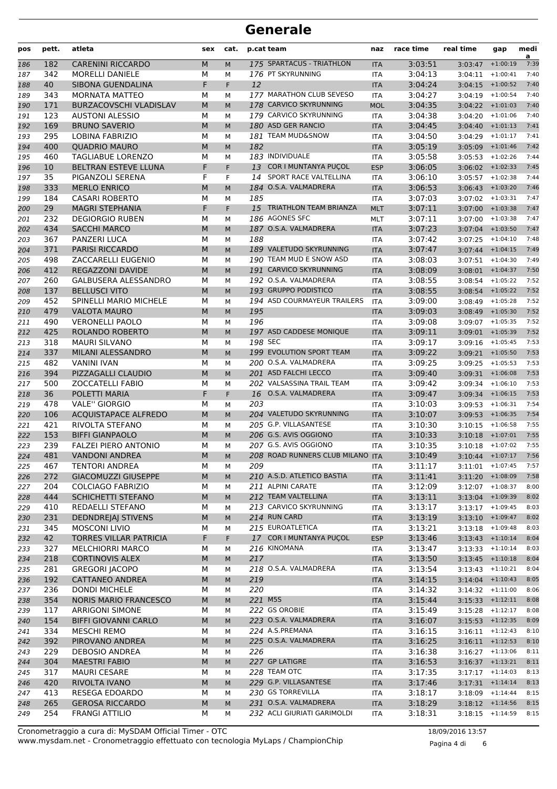| pos        | pett.      | atleta                                          | sex    | cat.      |            | p.cat team                                          | naz                      | race time          | real time                     | gap        | medi<br>a    |
|------------|------------|-------------------------------------------------|--------|-----------|------------|-----------------------------------------------------|--------------------------|--------------------|-------------------------------|------------|--------------|
| 186        | 182        | <b>CARENINI RICCARDO</b>                        | M      | M         |            | 175 SPARTACUS - TRIATHLON                           | <b>ITA</b>               | 3:03:51            | 3:03:47                       | $+1:00:19$ | 7:39         |
| 187        | 342        | <b>MORELLI DANIELE</b>                          | М      | М         |            | 176 PT SKYRUNNING                                   | <b>ITA</b>               | 3:04:13            | 3:04:11                       | $+1:00:41$ | 7:40         |
| 188        | 40         | SIBONA GUENDALINA                               | F      | F         | 12         |                                                     | <b>ITA</b>               | 3:04:24            | 3:04:15                       | $+1:00:52$ | 7:40         |
| 189        | 343        | MORNATA MATTEO                                  | М      | м         |            | 177 MARATHON CLUB SEVESO                            | <b>ITA</b>               | 3:04:27            | 3:04:19                       | $+1:00:54$ | 7:40         |
| 190        | 171        | <b>BURZACOVSCHI VLADISLAV</b>                   | M      | M         |            | 178 CARVICO SKYRUNNING                              | <b>MOL</b>               | 3:04:35            | $3:04:22 + 1:01:03$           |            | 7:40         |
| 191        | 123        | <b>AUSTONI ALESSIO</b>                          | М      | М         |            | 179 CARVICO SKYRUNNING                              | ITA                      | 3:04:38            | $3:04:20 + 1:01:06$           |            | 7:40         |
| 192        | 169        | <b>BRUNO SAVERIO</b>                            | M      | M         |            | 180 ASD GER RANCIO                                  | <b>ITA</b>               | 3:04:45            | $3:04:40$ +1:01:13            |            | 7:41         |
| 193        | 295        | <b>LOBINA FABRIZIO</b>                          | М      | М         |            | 181 TEAM MUD&SNOW                                   | <b>ITA</b>               | 3:04:50            | 3:04:29                       | $+1:01:17$ | 7:41         |
| 194        | 400        | <b>QUADRIO MAURO</b>                            | M      | M         | 182        |                                                     | <b>ITA</b>               | 3:05:19            | 3:05:09                       | $+1:01:46$ | 7:42         |
| 195        | 460        | TAGLIABUE LORENZO                               | М      | М         |            | 183 INDIVIDUALE                                     | <b>ITA</b>               | 3:05:58            | 3:05:53                       | $+1:02:26$ | 7:44         |
| 196        | 10         | BELTRAN ESTEVE LLUNA                            | F      | F         |            | 13 COR I MUNTANYA PUÇOL                             | <b>ESP</b>               | 3:06:05            | $3:06:02$ +1:02:33            |            | 7:45         |
| 197        | 35         | PIGANZOLI SERENA                                | F      | F         |            | 14 SPORT RACE VALTELLINA                            | <b>ITA</b>               | 3:06:10            | $3:05:57$ +1:02:38            |            | 7:44         |
| 198        | 333        | <b>MERLO ENRICO</b>                             | М      | M         |            | 184 O.S.A. VALMADRERA                               | <b>ITA</b>               | 3:06:53            | $3:06:43$ +1:03:20            |            | 7:46         |
| 199        | 184        | <b>CASARI ROBERTO</b>                           | М      | М         | 185        |                                                     | <b>ITA</b>               | 3:07:03            | $3:07:02$ +1:03:31            |            | 7:47         |
| 200        | 29         | <b>MAGRI STEPHANIA</b>                          | F      | F.        |            | 15 TRIATHLON TEAM BRIANZA                           | <b>MLT</b>               | 3:07:11            | 3:07:00                       | $+1:03:38$ | 7:47         |
| 201        | 232        | <b>DEGIORGIO RUBEN</b>                          | М      | м         |            | 186 AGONES SFC                                      | <b>MLT</b>               | 3:07:11            | 3:07:00                       | $+1:03:38$ | 7:47         |
| 202        | 434        | <b>SACCHI MARCO</b>                             | M      | M         |            | 187 O.S.A. VALMADRERA                               | <b>ITA</b>               | 3:07:23            | $3:07:04$ +1:03:50            |            | 7:47         |
| 203        | 367        | PANZERI LUCA                                    | М      | М         | 188        |                                                     | <b>ITA</b>               | 3:07:42            | $3:07:25$ +1:04:10            |            | 7:48         |
| 204        | 371        | <b>PARISI RICCARDO</b>                          | М      | M         |            | 189 VALETUDO SKYRUNNING                             | <b>ITA</b>               | 3:07:47            | $3:07:44$ +1:04:15            |            | 7:49         |
| 205        | 498        | ZACCARELLI EUGENIO                              | М      | М         |            | 190 TEAM MUD E SNOW ASD                             | <b>ITA</b>               | 3:08:03            | $3:07:51$ +1:04:30            |            | 7:49         |
| 206        | 412        | <b>REGAZZONI DAVIDE</b>                         | M      | M         |            | 191 CARVICO SKYRUNNING                              | <b>ITA</b>               | 3:08:09            | $3:08:01$ +1:04:37            |            | 7:50         |
| 207        | 260        | <b>GALBUSERA ALESSANDRO</b>                     | М      | М         |            | 192 O.S.A. VALMADRERA                               | <b>ITA</b>               | 3:08:55            | 3:08:54                       | $+1:05:22$ | 7:52         |
| 208        | 137        | <b>BELLUSCI VITO</b>                            | M      | M         |            | 193 GRUPPO PODISTICO<br>194 ASD COURMAYEUR TRAILERS | <b>ITA</b>               | 3:08:55            | $3:08:54$ +1:05:22            |            | 7:52         |
| 209        | 452        | SPINELLI MARIO MICHELE                          | М      | М         |            |                                                     | <b>ITA</b>               | 3:09:00            | 3:08:49                       | $+1:05:28$ | 7:52         |
| 210        | 479<br>490 | <b>VALOTA MAURO</b>                             | М      | M         | 195<br>196 |                                                     | <b>ITA</b>               | 3:09:03<br>3:09:08 | $3:08:49$ +1:05:30            |            | 7:52<br>7:52 |
| 211        | 425        | <b>VERONELLI PAOLO</b><br>ROLANDO ROBERTO       | М<br>М | М         |            | 197 ASD CADDESE MONIQUE                             | <b>ITA</b>               | 3:09:11            | $3:09:07$ +1:05:35            | $+1:05:39$ | 7:52         |
| 212<br>213 | 318        | <b>MAURI SILVANO</b>                            | М      | M         | 198 SEC    |                                                     | <b>ITA</b><br><b>ITA</b> | 3:09:17            | 3:09:01<br>$3:09:16$ +1:05:45 |            | 7:53         |
| 214        | 337        | MILANI ALESSANDRO                               | M      | М<br>M    |            | 199 EVOLUTION SPORT TEAM                            | <b>ITA</b>               | 3:09:22            | $3:09:21$ +1:05:50            |            | 7:53         |
| 215        | 482        | VANINI IVAN                                     | М      | М         |            | 200 O.S.A. VALMADRERA                               | <b>ITA</b>               | 3:09:25            | $3:09:25$ +1:05:53            |            | 7:53         |
| 216        | 394        | PIZZAGALLI CLAUDIO                              | M      | M         |            | 201 ASD FALCHI LECCO                                | <b>ITA</b>               | 3:09:40            | $3:09:31$ +1:06:08            |            | 7:53         |
| 217        | 500        | <b>ZOCCATELLI FABIO</b>                         | М      | М         |            | 202 VALSASSINA TRAIL TEAM                           | <b>ITA</b>               | 3:09:42            | 3:09:34                       | $+1:06:10$ | 7:53         |
| 218        | 36         | POLETTI MARIA                                   | F      | F.        |            | 16 O.S.A. VALMADRERA                                | <b>ITA</b>               | 3:09:47            | 3:09:34                       | $+1:06:15$ | 7:53         |
| 219        | 478        | <b>VALE" GIORGIO</b>                            | М      | М         | 203        |                                                     | <b>ITA</b>               | 3:10:03            | 3:09:53                       | $+1:06:31$ | 7:54         |
| 220        | 106        | <b>ACQUISTAPACE ALFREDO</b>                     | M      | M         |            | 204 VALETUDO SKYRUNNING                             | <b>ITA</b>               | 3:10:07            | $3:09:53$ +1:06:35            |            | 7:54         |
| 221        | 421        | RIVOLTA STEFANO                                 | М      | М         |            | 205 G.P. VILLASANTESE                               | <b>ITA</b>               | 3:10:30            | $3:10:15$ +1:06:58            |            | 7:55         |
| 222        | 153        | <b>BIFFI GIANPAOLO</b>                          | М      | M         |            | 206 G.S. AVIS OGGIONO                               | <b>ITA</b>               | 3:10:33            | $3:10:18$ +1:07:01            |            | 7:55         |
| 223        | 239        | <b>FALZEI PIERO ANTONIO</b>                     | М      | м         |            | 207 G.S. AVIS OGGIONO                               | <b>ITA</b>               | 3:10:35            | 3:10:18                       | $+1:07:02$ | 7:55         |
| 224        | 481        | <b>VANDONI ANDREA</b>                           | M      | M         |            | 208 ROAD RUNNERS CLUB MILANO                        | <b>ITA</b>               | 3:10:49            | $3:10:44$ +1:07:17            |            | 7:56         |
| 225        | 467        | <b>TENTORI ANDREA</b>                           | М      | М         | 209        |                                                     | ITA                      | 3:11:17            | $3:11:01$ +1:07:45            |            | 7:57         |
| 226        | 272        | <b>GIACOMUZZI GIUSEPPE</b>                      | М      | M         |            | 210 A.S.D. ATLETICO BASTIA                          | <b>ITA</b>               | 3:11:41            | $3:11:20 + 1:08:09$           |            | 7:58         |
| 227        | 204        | <b>COLCIAGO FABRIZIO</b>                        | М      | М         |            | 211 ALPINI CARATE                                   | <b>ITA</b>               | 3:12:09            | $3:12:07$ +1:08:37            |            | 8:00         |
| 228        | 444        | SCHICHETTI STEFANO                              | М      | M         |            | 212 TEAM VALTELLINA                                 | <b>ITA</b>               | 3:13:11            | $3:13:04$ +1:09:39            |            | 8:02         |
| 229        | 410        | REDAELLI STEFANO                                | М      | М         |            | 213 CARVICO SKYRUNNING                              | <b>ITA</b>               | 3:13:17            | $3:13:17$ +1:09:45            |            | 8:03         |
| 230        | 231        | <b>DEDNDREJAJ STIVENS</b>                       | M      | M         |            | 214 RUN CARD                                        | <b>ITA</b>               | 3:13:19            | $3:13:10$ +1:09:47            |            | 8:02         |
| 231        | 345        | <b>MOSCONI LIVIO</b>                            | М      | М         |            | 215 EUROATLETICA                                    | ITA                      | 3:13:21            | $3:13:18$ +1:09:48            |            | 8:03         |
| 232        | 42         | <b>TORRES VILLAR PATRICIA</b>                   | F      | F.        |            | 17 COR I MUNTANYA PUÇOL                             | <b>ESP</b>               | 3:13:46            | $3:13:43 + 1:10:14$           |            | 8:04         |
| 233        | 327        | <b>MELCHIORRI MARCO</b>                         | М      | М         |            | 216 KINOMANA                                        | <b>ITA</b>               | 3:13:47            | $3:13:33$ +1:10:14            |            | 8:03         |
| 234        | 218        | <b>CORTINOVIS ALEX</b>                          | М      | M         | 217        |                                                     | <b>ITA</b>               | 3:13:50            | $3:13:45$ +1:10:18            |            | 8:04         |
| 235        | 281        | <b>GREGORI JACOPO</b>                           | М      | М         |            | 218 O.S.A. VALMADRERA                               | <b>ITA</b>               | 3:13:54            | 3:13:43                       | $+1:10:21$ | 8:04         |
| 236        | 192        | CATTANEO ANDREA                                 | M      | M         | 219        |                                                     | <b>ITA</b>               | 3:14:15            | $3:14:04$ +1:10:43            |            | 8:05         |
| 237        | 236        | <b>DONDI MICHELE</b>                            | М      | М         | 220        |                                                     | ITA                      | 3:14:32            | $3:14:32 + 1:11:00$           |            | 8:06         |
| 238        | 354        | <b>NORIS MARIO FRANCESCO</b>                    | M      | M         | 221 M5S    |                                                     | <b>ITA</b>               | 3:15:44            | $3:15:33$ +1:12:11            |            | 8:08         |
| 239        | 117        | <b>ARRIGONI SIMONE</b>                          | М      | М         |            | 222 GS OROBIE                                       | ITA                      | 3:15:49            | $3:15:28$ +1:12:17            |            | 8:08         |
| 240        | 154        | <b>BIFFI GIOVANNI CARLO</b>                     | М      | ${\sf M}$ |            | 223 O.S.A. VALMADRERA                               | <b>ITA</b>               | 3:16:07            | $3:15:53$ +1:12:35            |            | 8:09         |
| 241        | 334        | MESCHI REMO                                     | М      | М         |            | 224 A.S.PREMANA                                     | <b>ITA</b>               | 3:16:15            | $3:16:11$ +1:12:43            |            | 8:10         |
| 242        | 392        | PIROVANO ANDREA                                 | M      | M         |            | 225 O.S.A. VALMADRERA                               | <b>ITA</b>               | 3:16:25            | $3:16:11$ +1:12:53            |            | 8:10         |
| 243        | 229        | <b>DEBOSIO ANDREA</b>                           | М      | М         | 226        |                                                     | ITA                      | 3:16:38            | $3:16:27$ +1:13:06            |            | 8:11         |
| 244        | 304        | <b>MAESTRI FABIO</b>                            | M      | M         |            | 227 GP LATIGRE                                      | <b>ITA</b>               | 3:16:53            | $3:16:37$ +1:13:21            |            | 8:11         |
| 245        | 317        | <b>MAURI CESARE</b>                             | М      | М         |            | 228 TEAM OTC                                        | <b>ITA</b>               | 3:17:35            | $3:17:17$ +1:14:03            |            | 8:13         |
| 246        | 420        | RIVOLTA IVANO                                   | М      | M         |            | 229 G.P. VILLASANTESE                               | <b>ITA</b>               | 3:17:46            | $3:17:31 + 1:14:14$           |            | 8:13         |
| 247        | 413        | RESEGA EDOARDO                                  | М      | М         |            | 230 GS TORREVILLA<br>231 O.S.A. VALMADRERA          | <b>ITA</b>               | 3:18:17            | 3:18:09<br>$3:18:12$ +1:14:56 | $+1:14:44$ | 8:15<br>8:15 |
| 248        | 265<br>254 | <b>GEROSA RICCARDO</b><br><b>FRANGI ATTILIO</b> | M<br>М | M         |            | 232 ACLI GIURIATI GARIMOLDI                         | <b>ITA</b>               | 3:18:29            | $3:18:15$ +1:14:59            |            | 8:15         |
| 249        |            |                                                 |        | М         |            |                                                     | ITA                      | 3:18:31            |                               |            |              |

www.mysdam.net - Cronometraggio effettuato con tecnologia MyLaps / ChampionChip Cronometraggio a cura di: MySDAM Official Timer - OTC 18/09/2016 13:57

Pagina 4 di 6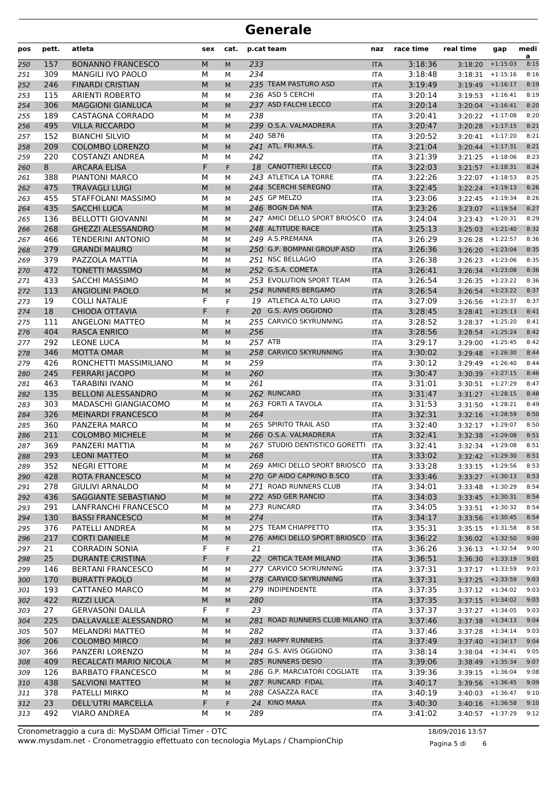| pos        | pett.      | atleta                                             | sex    | cat.    |            | p.cat team                       | naz                      | race time          | real time                                | gap                | medi<br>a    |
|------------|------------|----------------------------------------------------|--------|---------|------------|----------------------------------|--------------------------|--------------------|------------------------------------------|--------------------|--------------|
| 250        | 157        | <b>BONANNO FRANCESCO</b>                           | M      | M       | 233        |                                  | <b>ITA</b>               | 3:18:36            | 3:18:20                                  | $+1:15:03$         | 8:15         |
| 251        | 309        | MANGILI IVO PAOLO                                  | М      | М       | 234        |                                  | <b>ITA</b>               | 3:18:48            | $3:18:31$ +1:15:16                       |                    | 8:16         |
| 252        | 246        | <b>FINARDI CRISTIAN</b>                            | M      | M       |            | 235 TEAM PASTURO ASD             | <b>ITA</b>               | 3:19:49            | $3:19:49$ +1:16:17                       |                    | 8:19         |
| 253        | 115        | <b>ARIENTI ROBERTO</b>                             | М      | м       |            | 236 ASD 5 CERCHI                 | <b>ITA</b>               | 3:20:14            | 3:19:53                                  | $+1:16:41$         | 8:19         |
| 254        | 306        | <b>MAGGIONI GIANLUCA</b>                           | M      | M       |            | 237 ASD FALCHI LECCO             | <b>ITA</b>               | 3:20:14            | $3:20:04$ +1:16:41                       |                    | 8:20         |
| 255        | 189        | CASTAGNA CORRADO                                   | М      | м       | 238        |                                  | <b>ITA</b>               | 3:20:41            | $3:20:22 + 1:17:08$                      |                    | 8:20         |
| 256        | 495        | <b>VILLA RICCARDO</b>                              | M      | M       |            | 239 O.S.A. VALMADRERA            | <b>ITA</b>               | 3:20:47            | $3:20:28$ +1:17:15                       |                    | 8:21         |
| 257        | 152        | <b>BIANCHI SILVIO</b>                              | М      | М       |            | 240 SB76                         | <b>ITA</b>               | 3:20:52            | $3:20:41$ +1:17:20                       |                    | 8:21         |
| 258        | 209        | <b>COLOMBO LORENZO</b><br><b>COSTANZI ANDREA</b>   | M      | M       | 242        | 241 ATL. FRI.MA.S.               | <b>ITA</b>               | 3:21:04            | $3:20:44$ +1:17:31                       |                    | 8:21<br>8:23 |
| 259        | 220<br>8   | <b>ARCARA ELISA</b>                                | M<br>F | М<br>F. |            | 18 CANOTTIERI LECCO              | <b>ITA</b><br><b>ITA</b> | 3:21:39<br>3:22:03 | $3:21:25$ +1:18:06<br>$3:21:57$ +1:18:31 |                    | 8:24         |
| 260<br>261 | 388        | PIANTONI MARCO                                     | М      | М       |            | 243 ATLETICA LA TORRE            | <b>ITA</b>               | 3:22:26            | $3:22:07$ +1:18:53                       |                    | 8:25         |
| 262        | 475        | <b>TRAVAGLI LUIGI</b>                              | M      | M       |            | 244 5CERCHI SEREGNO              | <b>ITA</b>               | 3:22:45            | $3:22:24$ +1:19:13                       |                    | 8:26         |
| 263        | 455        | STAFFOLANI MASSIMO                                 | М      | М       |            | 245 GP MELZO                     | <b>ITA</b>               | 3:23:06            | $3:22:45$ +1:19:34                       |                    | 8:26         |
| 264        | 435        | <b>SACCHI LUCA</b>                                 | M      | M       |            | 246 BOGN DA NIA                  | <b>ITA</b>               | 3:23:26            | $3:23:07$ +1:19:54                       |                    | 8:27         |
| 265        | 136        | <b>BELLOTTI GIOVANNI</b>                           | М      | м       |            | 247 AMICI DELLO SPORT BRIOSCO    | <b>ITA</b>               | 3:24:04            | $3:23:43$ +1:20:31                       |                    | 8:29         |
| 266        | 268        | <b>GHEZZI ALESSANDRO</b>                           | M      | M       |            | 248 ALTITUDE RACE                | <b>ITA</b>               | 3:25:13            | $3:25:03$ +1:21:40                       |                    | 8:32         |
| 267        | 466        | <b>TENDERINI ANTONIO</b>                           | М      | М       |            | 249 A.S.PREMANA                  | <b>ITA</b>               | 3:26:29            | $3:26:28$ +1:22:57                       |                    | 8:36         |
| 268        | 279        | <b>GRANDI MAURO</b>                                | M      | M       |            | 250 G.P. BOMPANI GROUP ASD       | <b>ITA</b>               | 3:26:36            | $3:26:20$ +1:23:04                       |                    | 8:35         |
| 269        | 379        | PAZZOLA MATTIA                                     | М      | М       |            | 251 NSC BELLAGIO                 | <b>ITA</b>               | 3:26:38            | $3:26:23$ +1:23:06                       |                    | 8:35         |
| 270        | 472        | <b>TONETTI MASSIMO</b>                             | M      | M       |            | 252 G.S.A. COMETA                | <b>ITA</b>               | 3:26:41            | $3:26:34$ +1:23:08                       |                    | 8:36         |
| 271        | 433        | <b>SACCHI MASSIMO</b>                              | М      | М       |            | 253 EVOLUTION SPORT TEAM         | <b>ITA</b>               | 3:26:54            | $3:26:35$ +1:23:22                       |                    | 8:36         |
| 272        | 113        | <b>ANGIOLINI PAOLO</b>                             | M      | M       |            | 254 RUNNERS BERGAMO              | <b>ITA</b>               | 3:26:54            | $3:26:54$ +1:23:22                       |                    | 8:37         |
| 273        | 19         | <b>COLLI NATALIE</b>                               | F      | F.      |            | 19 ATLETICA ALTO LARIO           | <b>ITA</b>               | 3:27:09            | $3:26:56$ +1:23:37                       |                    | 8:37         |
| 274        | 18         | <b>CHIODA OTTAVIA</b>                              | F      | F.      |            | 20 G.S. AVIS OGGIONO             | <b>ITA</b>               | 3:28:45            | $3:28:41$ +1:25:13                       |                    | 8:41         |
| 275        | 111        | <b>ANGELONI MATTEO</b>                             | М      | М       |            | 255 CARVICO SKYRUNNING           | <b>ITA</b>               | 3:28:52            | $3:28:37$ +1:25:20                       |                    | 8:41         |
| 276        | 404        | <b>RASCA ENRICO</b>                                | M      | M       | 256        |                                  | <b>ITA</b>               | 3:28:56            | $3:28:54$ +1:25:24                       |                    | 8:42         |
| 277        | 292        | <b>LEONE LUCA</b>                                  | М      | М       | 257 ATB    |                                  | <b>ITA</b>               | 3:29:17            | 3:29:00                                  | $+1:25:45$         | 8:42         |
| 278        | 346        | <b>MOTTA OMAR</b>                                  | M      | M       |            | 258 CARVICO SKYRUNNING           | <b>ITA</b>               | 3:30:02            | $3:29:48$ +1:26:30                       |                    | 8:44         |
| 279        | 426        | RONCHETTI MASSIMILIANO                             | М      | М       | 259        |                                  | <b>ITA</b>               | 3:30:12            | $3:29:49$ +1:26:40                       |                    | 8:44         |
| 280        | 245        | <b>FERRARI JACOPO</b>                              | M      | M       | 260<br>261 |                                  | <b>ITA</b>               | 3:30:47            | $3:30:39$ +1:27:15                       |                    | 8:46         |
| 281        | 463<br>135 | <b>TARABINI IVANO</b><br><b>BELLONI ALESSANDRO</b> | М<br>M | М       |            | 262 RUNCARD                      | <b>ITA</b>               | 3:31:01<br>3:31:47 | $3:30:51$ +1:27:29<br>$3:31:27$ +1:28:15 |                    | 8:47<br>8:48 |
| 282<br>283 | 303        | MADASCHI GIANGIACOMO                               | М      | M<br>М  |            | 263 FORTI A TAVOLA               | <b>ITA</b><br><b>ITA</b> | 3:31:53            | 3:31:50                                  | $+1:28:21$         | 8:49         |
| 284        | 326        | <b>MEINARDI FRANCESCO</b>                          | M      | M       | 264        |                                  | <b>ITA</b>               | 3:32:31            | $3:32:16$ +1:28:59                       |                    | 8:50         |
| 285        | 360        | PANZERA MARCO                                      | М      | М       |            | 265 SPIRITO TRAIL ASD            | <b>ITA</b>               | 3:32:40            | $3:32:17$ +1:29:07                       |                    | 8:50         |
| 286        | 211        | <b>COLOMBO MICHELE</b>                             | M      | M       |            | 266 O.S.A. VALMADRERA            | <b>ITA</b>               | 3:32:41            | $3:32:38$ +1:29:08                       |                    | 8:51         |
| 287        | 369        | PANZERI MATTIA                                     | М      | М       |            | 267 STUDIO DENTISTICO GORETTI    | <b>ITA</b>               | 3:32:41            | 3:32:34                                  | $+1:29:08$         | 8:51         |
| 288        | 293        | <b>LEONI MATTEO</b>                                | M      | M       | 268        |                                  | <b>ITA</b>               | 3:33:02            | $3:32:42$ +1:29:30                       |                    | 8:51         |
| 289        | 352        | <b>NEGRI ETTORE</b>                                | М      | м       |            | 269 AMICI DELLO SPORT BRIOSCO    | <b>ITA</b>               | 3:33:28            | $3:33:15$ +1:29:56                       |                    | 8:53         |
| 290        | 428        | <b>ROTA FRANCESCO</b>                              | M      | M       |            | 270 GP AIDO CAPRINO B.SCO        | <b>ITA</b>               | 3:33:46            | $3:33:27 + 1:30:13$                      |                    | 8:53         |
| 291        | 278        | <b>GIULIVI ARNALDO</b>                             | м      | м       |            | 271 ROAD RUNNERS CLUB            | <b>ITA</b>               | 3:34:01            |                                          | $3:33:48$ +1:30:29 | 8:54         |
| 292        | 436        | SAGGIANTE SEBASTIANO                               | M      | M       |            | 272 ASD GER RANCIO               | <b>ITA</b>               | 3:34:03            | $3:33:45$ +1:30:31                       |                    | 8:54         |
| 293        | 291        | LANFRANCHI FRANCESCO                               | М      | м       |            | 273 RUNCARD                      | ITA                      | 3:34:05            | $3:33:51 + 1:30:32$                      |                    | 8:54         |
| 294        | 130        | <b>BASSI FRANCESCO</b>                             | M      | M       | 274        |                                  | <b>ITA</b>               | 3:34:17            |                                          | $3:33:56$ +1:30:45 | 8:54         |
| 295        | 376        | PATELLI ANDREA                                     | м      | м       |            | 275 TEAM CHIAPPETTO              | ITA                      | 3:35:31            | $3:35:15$ +1:31:58                       |                    | 8:58         |
| 296        | 217        | <b>CORTI DANIELE</b>                               | M      | M       |            | 276 AMICI DELLO SPORT BRIOSCO    | <b>ITA</b>               | 3:36:22            | $3:36:02 + 1:32:50$                      |                    | 9:00         |
| 297        | 21         | <b>CORRADIN SONIA</b>                              | F      | F.      | 21         |                                  | ITA                      | 3:36:26            |                                          | $3:36:13$ +1:32:54 | 9:00         |
| 298        | 25         | <b>DURANTE CRISTINA</b>                            | F      | F.      |            | 22 ORTICA TEAM MILANO            | <b>ITA</b>               | 3:36:51            | $3:36:30 + 1:33:19$                      |                    | 9:01         |
| 299        | 146        | <b>BERTANI FRANCESCO</b>                           | М      | М       |            | 277 CARVICO SKYRUNNING           | ITA                      | 3:37:31            | $3:37:17$ +1:33:59                       |                    | 9:03         |
| 300        | 170        | <b>BURATTI PAOLO</b>                               | M      | M       |            | 278 CARVICO SKYRUNNING           | <b>ITA</b>               | 3:37:31            | $3:37:25$ +1:33:59                       |                    | 9:03         |
| 301        | 193        | CATTANEO MARCO                                     | М      | м       |            | 279 INDIPENDENTE                 | ITA                      | 3:37:35            | $3:37:12 + 1:34:02$                      |                    | 9:03         |
| 302        | 422        | <b>RIZZI LUCA</b>                                  | M      | М       | 280        |                                  | <b>ITA</b>               | 3:37:35            | $3:37:15$ +1:34:02                       |                    | 9:03         |
| 303        | 27         | <b>GERVASONI DALILA</b>                            | F      | F.      | 23         |                                  | ITA                      | 3:37:37            |                                          | $3:37:27$ +1:34:05 | 9:03         |
| 304        | 225        | DALLAVALLE ALESSANDRO                              | M      | M       | 282        | 281 ROAD RUNNERS CLUB MILANO ITA |                          | 3:37:46            | $3:37:38$ +1:34:13                       |                    | 9:04         |
| 305        | 507        | <b>MELANDRI MATTEO</b>                             | м      | М       |            | 283 HAPPY RUNNERS                | ITA                      | 3:37:46            | $3:37:28$ +1:34:14                       |                    | 9:03<br>9:04 |
| 306        | 206        | <b>COLOMBO MIRCO</b>                               | M      | M       |            | 284 G.S. AVIS OGGIONO            | <b>ITA</b>               | 3:37:49            | $3:37:40$ +1:34:17                       | $+1:34:41$         | 9:05         |
| 307<br>308 | 366<br>409 | PANZERI LORENZO<br>RECALCATI MARIO NICOLA          | м<br>M | м<br>M  |            | 285 RUNNERS DESIO                | ITA<br><b>ITA</b>        | 3:38:14<br>3:39:06 | 3:38:04<br>$3:38:49$ +1:35:34            |                    | 9:07         |
| 309        | 126        | <b>BARBATO FRANCESCO</b>                           | м      | м       |            | 286 G.P. MARCIATORI COGLIATE     | ITA                      | 3:39:36            |                                          | $3:39:15$ +1:36:04 | 9:08         |
| 310        | 438        | <b>SALVIONI MATTEO</b>                             | M      | M       |            | 287 RUNCARD FIDAL                | <b>ITA</b>               | 3:40:17            | $3:39:56$ +1:36:45                       |                    | 9:09         |
| 311        | 378        | PATELLI MIRKO                                      | М      | М       |            | 288 CASAZZA RACE                 | ITA                      | 3:40:19            | $3:40:03$ +1:36:47                       |                    | 9:10         |
| 312        | 23         | <b>DELL'UTRI MARCELLA</b>                          | F      | F.      |            | 24 KINO MANA                     | <b>ITA</b>               | 3:40:30            | $3:40:16$ +1:36:58                       |                    | 9:10         |
| 313        | 492        | <b>VIARO ANDREA</b>                                | М      | М       | 289        |                                  | ITA                      | 3:41:02            | $3:40:57$ +1:37:29                       |                    | 9:12         |
|            |            |                                                    |        |         |            |                                  |                          |                    |                                          |                    |              |

Pagina 5 di 6